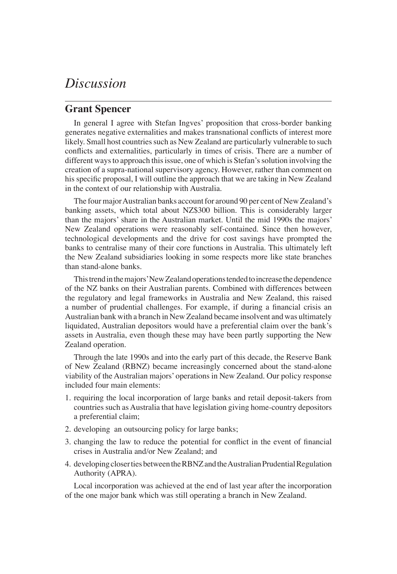## *Discussion*

## **Grant Spencer**

In general I agree with Stefan Ingves' proposition that cross-border banking generates negative externalities and makes transnational conflicts of interest more likely. Small host countries such as New Zealand are particularly vulnerable to such conflicts and externalities, particularly in times of crisis. There are a number of different ways to approach this issue, one of which is Stefan's solution involving the creation of a supra-national supervisory agency. However, rather than comment on his specific proposal, I will outline the approach that we are taking in New Zealand in the context of our relationship with Australia.

The four major Australian banks account for around 90 per cent of New Zealand's banking assets, which total about NZ\$300 billion. This is considerably larger than the majors' share in the Australian market. Until the mid 1990s the majors' New Zealand operations were reasonably self-contained. Since then however, technological developments and the drive for cost savings have prompted the banks to centralise many of their core functions in Australia. This ultimately left the New Zealand subsidiaries looking in some respects more like state branches than stand-alone banks.

This trend in the majors' New Zealand operations tended to increase the dependence of the NZ banks on their Australian parents. Combined with differences between the regulatory and legal frameworks in Australia and New Zealand, this raised a number of prudential challenges. For example, if during a financial crisis an Australian bank with a branch in New Zealand became insolvent and was ultimately liquidated, Australian depositors would have a preferential claim over the bank's assets in Australia, even though these may have been partly supporting the New Zealand operation.

Through the late 1990s and into the early part of this decade, the Reserve Bank of New Zealand (RBNZ) became increasingly concerned about the stand-alone viability of the Australian majors' operations in New Zealand. Our policy response included four main elements:

- 1. requiring the local incorporation of large banks and retail deposit-takers from countries such as Australia that have legislation giving home-country depositors a preferential claim;
- 2. developing an outsourcing policy for large banks;
- 3. changing the law to reduce the potential for conflict in the event of financial crises in Australia and/or New Zealand; and
- 4. developing closer ties between the RBNZ and the Australian Prudential Regulation Authority (APRA).

Local incorporation was achieved at the end of last year after the incorporation of the one major bank which was still operating a branch in New Zealand.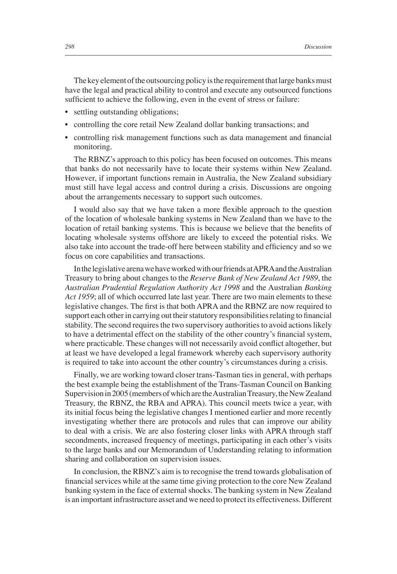The key element of the outsourcing policy is the requirement that large banks must have the legal and practical ability to control and execute any outsourced functions sufficient to achieve the following, even in the event of stress or failure:

- settling outstanding obligations;
- controlling the core retail New Zealand dollar banking transactions; and
- controlling risk management functions such as data management and financial monitoring.

The RBNZ's approach to this policy has been focused on outcomes. This means that banks do not necessarily have to locate their systems within New Zealand. However, if important functions remain in Australia, the New Zealand subsidiary must still have legal access and control during a crisis. Discussions are ongoing about the arrangements necessary to support such outcomes.

I would also say that we have taken a more flexible approach to the question of the location of wholesale banking systems in New Zealand than we have to the location of retail banking systems. This is because we believe that the benefits of locating wholesale systems offshore are likely to exceed the potential risks. We also take into account the trade-off here between stability and efficiency and so we focus on core capabilities and transactions.

In the legislative arena we have worked with our friends at APRA and the Australian Treasury to bring about changes to the *Reserve Bank of New Zealand Act 1989*, the *Australian Prudential Regulation Authority Act 1998* and the Australian *Banking Act 1959*; all of which occurred late last year. There are two main elements to these legislative changes. The first is that both APRA and the RBNZ are now required to support each other in carrying out their statutory responsibilities relating to financial stability. The second requires the two supervisory authorities to avoid actions likely to have a detrimental effect on the stability of the other country's financial system, where practicable. These changes will not necessarily avoid conflict altogether, but at least we have developed a legal framework whereby each supervisory authority is required to take into account the other country's circumstances during a crisis.

Finally, we are working toward closer trans-Tasman ties in general, with perhaps the best example being the establishment of the Trans-Tasman Council on Banking Supervision in 2005 (members of which are the Australian Treasury, the New Zealand Treasury, the RBNZ, the RBA and APRA). This council meets twice a year, with its initial focus being the legislative changes I mentioned earlier and more recently investigating whether there are protocols and rules that can improve our ability to deal with a crisis. We are also fostering closer links with APRA through staff secondments, increased frequency of meetings, participating in each other's visits to the large banks and our Memorandum of Understanding relating to information sharing and collaboration on supervision issues.

In conclusion, the RBNZ's aim is to recognise the trend towards globalisation of financial services while at the same time giving protection to the core New Zealand banking system in the face of external shocks. The banking system in New Zealand is an important infrastructure asset and we need to protect its effectiveness. Different